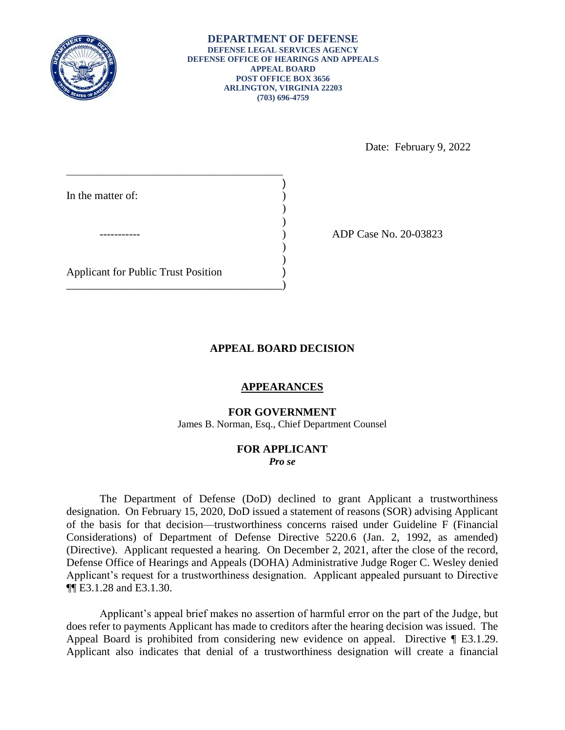

Date: February 9, 2022

\_\_\_\_\_\_\_\_\_\_\_\_\_\_\_\_\_\_\_\_\_\_\_\_\_\_\_\_\_\_\_\_\_\_\_\_\_\_\_\_\_\_\_\_\_\_\_ ) In the matter of: )  $\mathcal{L}$ ----------- ) ADP Case No. 20-03823  $)$  $)$ Applicant for Public Trust Position ) \_\_\_\_\_\_\_\_\_\_\_\_\_\_\_\_\_\_\_\_\_\_\_\_\_\_\_\_\_\_\_\_\_\_\_\_\_\_\_)

## **APPEAL BOARD DECISION**

## **APPEARANCES**

**FOR GOVERNMENT** 

James B. Norman, Esq., Chief Department Counsel

## **FOR APPLICANT**  *Pro se*

 The Department of Defense (DoD) declined to grant Applicant a trustworthiness designation. On February 15, 2020, DoD issued a statement of reasons (SOR) advising Applicant of the basis for that decision⸺trustworthiness concerns raised under Guideline F (Financial Considerations) of Department of Defense Directive 5220.6 (Jan. 2, 1992, as amended) Defense Office of Hearings and Appeals (DOHA) Administrative Judge Roger C. Wesley denied Applicant's request for a trustworthiness designation. Applicant appealed pursuant to Directive (Directive). Applicant requested a hearing. On December 2, 2021, after the close of the record, ¶¶ E3.1.28 and E3.1.30.

 Applicant's appeal brief makes no assertion of harmful error on the part of the Judge, but does refer to payments Applicant has made to creditors after the hearing decision was issued. The Appeal Board is prohibited from considering new evidence on appeal. Directive ¶ E3.1.29. Applicant also indicates that denial of a trustworthiness designation will create a financial